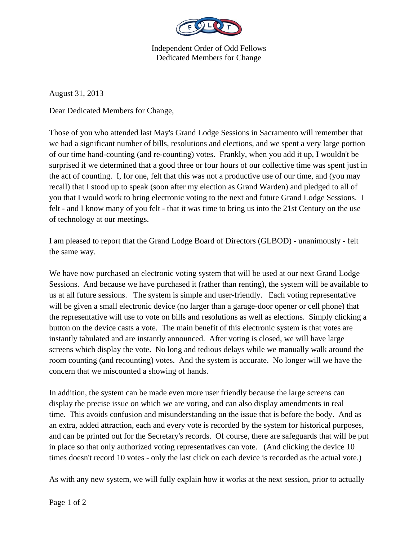

Independent Order of Odd Fellows Dedicated Members for Change

August 31, 2013

Dear Dedicated Members for Change,

Those of you who attended last May's Grand Lodge Sessions in Sacramento will remember that we had a significant number of bills, resolutions and elections, and we spent a very large portion of our time hand-counting (and re-counting) votes. Frankly, when you add it up, I wouldn't be surprised if we determined that a good three or four hours of our collective time was spent just in the act of counting. I, for one, felt that this was not a productive use of our time, and (you may recall) that I stood up to speak (soon after my election as Grand Warden) and pledged to all of you that I would work to bring electronic voting to the next and future Grand Lodge Sessions. I felt - and I know many of you felt - that it was time to bring us into the 21st Century on the use of technology at our meetings.

I am pleased to report that the Grand Lodge Board of Directors (GLBOD) - unanimously - felt the same way.

We have now purchased an electronic voting system that will be used at our next Grand Lodge Sessions. And because we have purchased it (rather than renting), the system will be available to us at all future sessions. The system is simple and user-friendly. Each voting representative will be given a small electronic device (no larger than a garage-door opener or cell phone) that the representative will use to vote on bills and resolutions as well as elections. Simply clicking a button on the device casts a vote. The main benefit of this electronic system is that votes are instantly tabulated and are instantly announced. After voting is closed, we will have large screens which display the vote. No long and tedious delays while we manually walk around the room counting (and recounting) votes. And the system is accurate. No longer will we have the concern that we miscounted a showing of hands.

In addition, the system can be made even more user friendly because the large screens can display the precise issue on which we are voting, and can also display amendments in real time. This avoids confusion and misunderstanding on the issue that is before the body. And as an extra, added attraction, each and every vote is recorded by the system for historical purposes, and can be printed out for the Secretary's records. Of course, there are safeguards that will be put in place so that only authorized voting representatives can vote. (And clicking the device 10 times doesn't record 10 votes - only the last click on each device is recorded as the actual vote.)

As with any new system, we will fully explain how it works at the next session, prior to actually